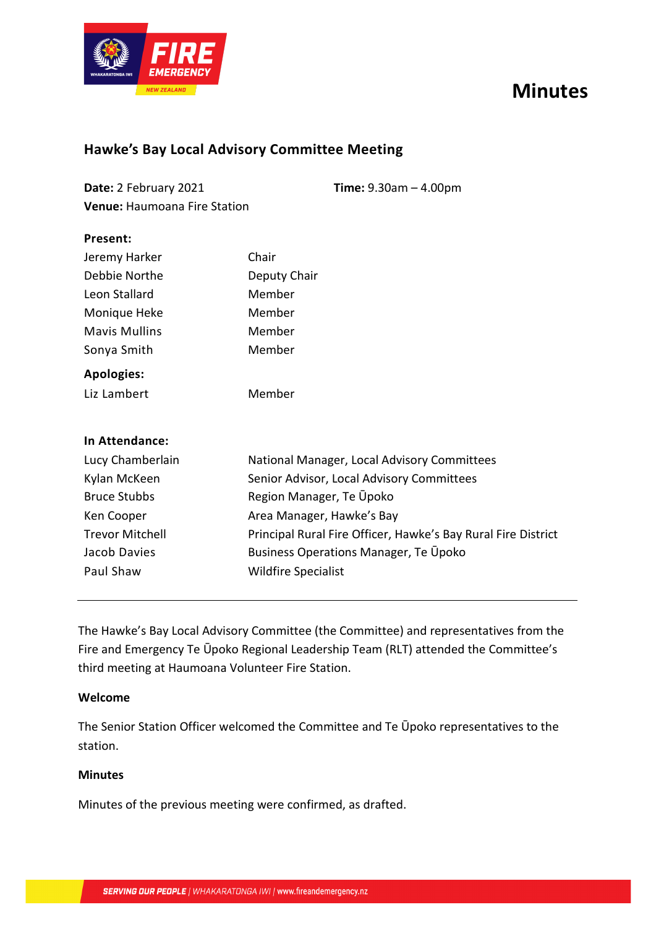# **Minutes**



### **Hawke's Bay Local Advisory Committee Meeting**

| Date: 2 February 2021               | <b>Time:</b> $9.30am - 4.00pm$ |
|-------------------------------------|--------------------------------|
| <b>Venue: Haumoana Fire Station</b> |                                |

| Present:             |                                             |
|----------------------|---------------------------------------------|
| Jeremy Harker        | Chair                                       |
| Debbie Northe        | Deputy Chair                                |
| Leon Stallard        | Member                                      |
| Monique Heke         | Member                                      |
| <b>Mavis Mullins</b> | Member                                      |
| Sonya Smith          | Member                                      |
| <b>Apologies:</b>    |                                             |
| Liz Lambert          | Member                                      |
|                      |                                             |
| In Attendance:       |                                             |
| Lucy Chamberlain     | National Manager, Local Advisory Committees |
| Kylan McKeen         | Senior Advisor, Local Advisory Committees   |
| <b>Bruce Stubbs</b>  | Region Manager, Te Upoko                    |
|                      |                                             |

Ken Cooper Trevor Mitchell Area Manager, Hawke's Bay Principal Rural Fire Officer, Hawke's Bay Rural Fire District Jacob Davies Paul Shaw Business Operations Manager, Te Ūpoko Wildfire Specialist

The Hawke's Bay Local Advisory Committee (the Committee) and representatives from the Fire and Emergency Te Ūpoko Regional Leadership Team (RLT) attended the Committee's third meeting at Haumoana Volunteer Fire Station.

#### **Welcome**

The Senior Station Officer welcomed the Committee and Te Ūpoko representatives to the station.

#### **Minutes**

Minutes of the previous meeting were confirmed, as drafted.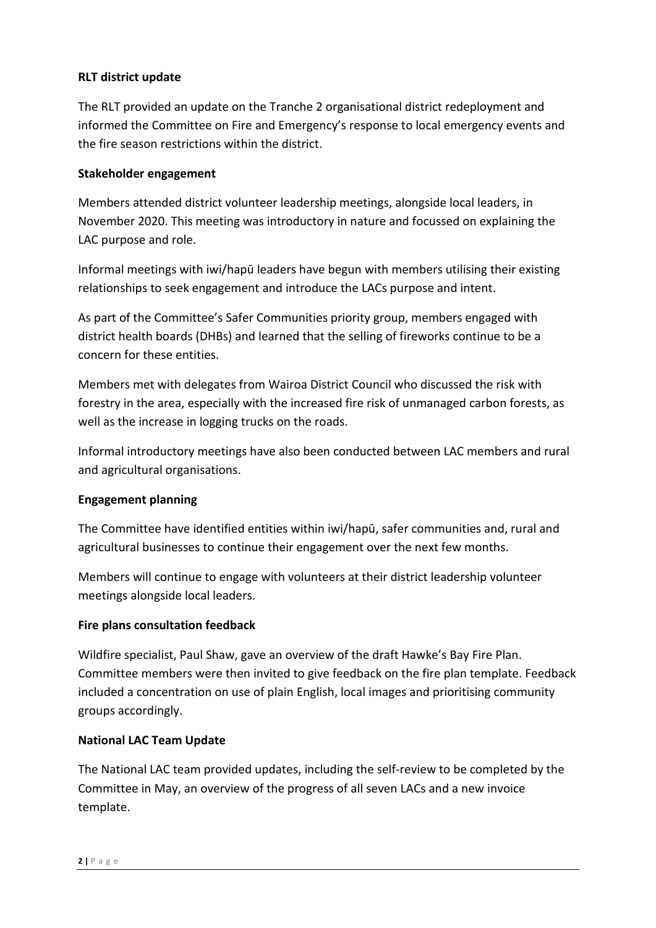#### **RLT district update**

The RLT provided an update on the Tranche 2 organisational district redeployment and informed the Committee on Fire and Emergency's response to local emergency events and the fire season restrictions within the district.

#### **Stakeholder engagement**

Members attended district volunteer leadership meetings, alongside local leaders, in November 2020. This meeting was introductory in nature and focussed on explaining the LAC purpose and role.

Informal meetings with iwi/hapū leaders have begun with members utilising their existing relationships to seek engagement and introduce the LACs purpose and intent.

As part of the Committee's Safer Communities priority group, members engaged with district health boards (DHBs) and learned that the selling of fireworks continue to be a concern for these entities.

Members met with delegates from Wairoa District Council who discussed the risk with forestry in the area, especially with the increased fire risk of unmanaged carbon forests, as well as the increase in logging trucks on the roads.

Informal introductory meetings have also been conducted between LAC members and rural and agricultural organisations.

#### **Engagement planning**

The Committee have identified entities within iwi/hapū, safer communities and, rural and agricultural businesses to continue their engagement over the next few months.

Members will continue to engage with volunteers at their district leadership volunteer meetings alongside local leaders.

#### **Fire plans consultation feedback**

Wildfire specialist, Paul Shaw, gave an overview of the draft Hawke's Bay Fire Plan. Committee members were then invited to give feedback on the fire plan template. Feedback included a concentration on use of plain English, local images and prioritising community groups accordingly.

#### **National LAC Team Update**

The National LAC team provided updates, including the self-review to be completed by the Committee in May, an overview of the progress of all seven LACs and a new invoice template.